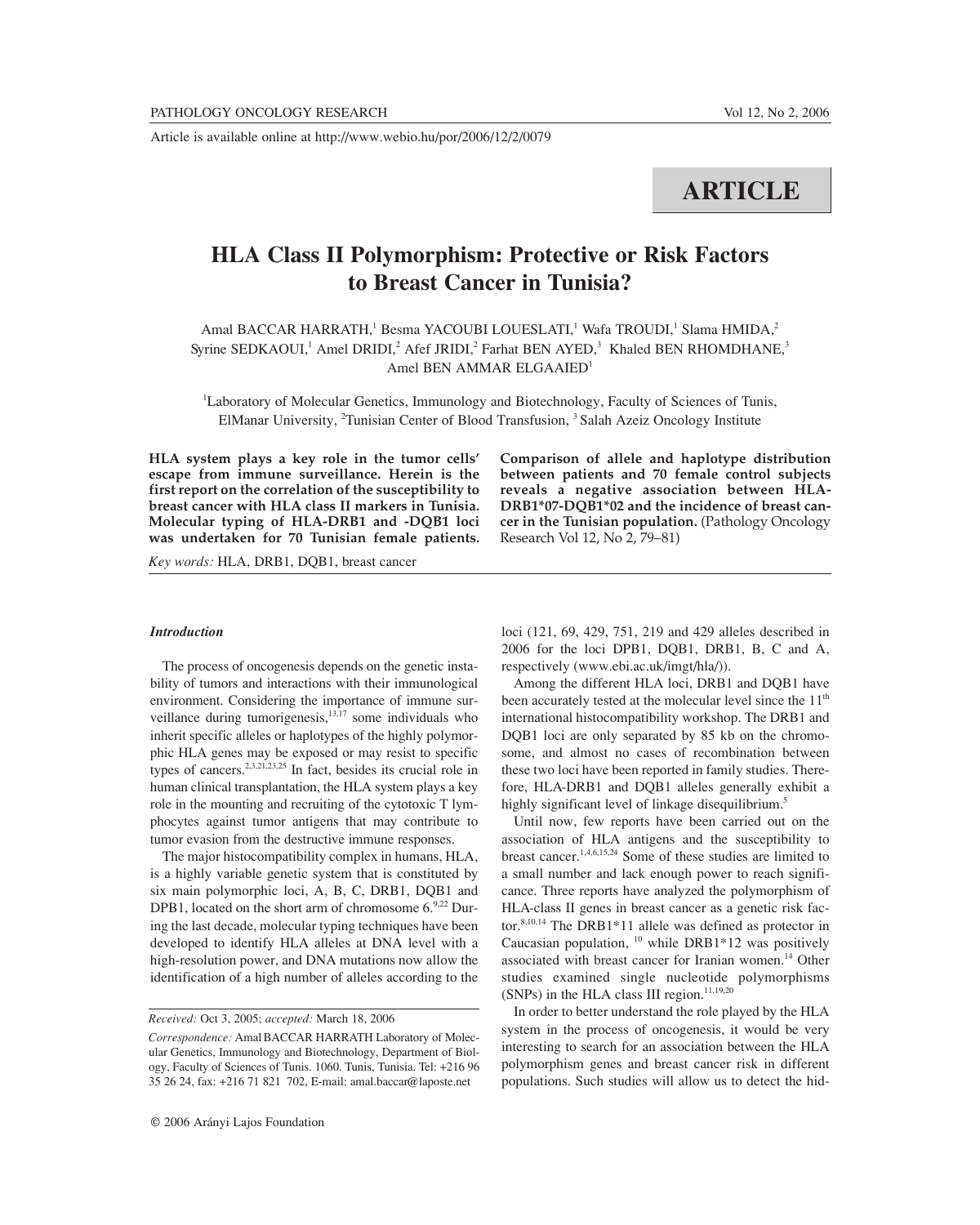Article is available online at http://www.webio.hu/por/2006/12/2/0079

# **ARTICLE**

## **HLA Class II Polymorphism: Protective or Risk Factors to Breast Cancer in Tunisia?**

Amal BACCAR HARRATH,<sup>1</sup> Besma YACOUBI LOUESLATI,<sup>1</sup> Wafa TROUDI,<sup>1</sup> Slama HMIDA,<sup>2</sup> Syrine SEDKAOUI,<sup>1</sup> Amel DRIDI,<sup>2</sup> Afef JRIDI,<sup>2</sup> Farhat BEN AYED,<sup>3</sup> Khaled BEN RHOMDHANE,<sup>3</sup> Amel BEN AMMAR ELGAAIED<sup>1</sup>

<sup>1</sup>Laboratory of Molecular Genetics, Immunology and Biotechnology, Faculty of Sciences of Tunis, ElManar University, <sup>2</sup>Tunisian Center of Blood Transfusion, <sup>3</sup> Salah Azeiz Oncology Institute

**HLA system plays a key role in the tumor cells' escape from immune surveillance. Herein is the first report on the correlation of the susceptibility to breast cancer with HLA class II markers in Tunisia. Molecular typing of HLA-DRB1 and -DQB1 loci was undertaken for 70 Tunisian female patients.**

*Key words:* HLA, DRB1, DQB1, breast cancer

#### *Introduction*

The process of oncogenesis depends on the genetic instability of tumors and interactions with their immunological environment. Considering the importance of immune surveillance during tumorigenesis, $13,17$  some individuals who inherit specific alleles or haplotypes of the highly polymorphic HLA genes may be exposed or may resist to specific types of cancers.2,3,21,23,25 In fact, besides its crucial role in human clinical transplantation, the HLA system plays a key role in the mounting and recruiting of the cytotoxic T lymphocytes against tumor antigens that may contribute to tumor evasion from the destructive immune responses.

The major histocompatibility complex in humans, HLA, is a highly variable genetic system that is constituted by six main polymorphic loci, A, B, C, DRB1, DQB1 and DPB1, located on the short arm of chromosome 6.9,22 During the last decade, molecular typing techniques have been developed to identify HLA alleles at DNA level with a high-resolution power, and DNA mutations now allow the identification of a high number of alleles according to the

*Received:* Oct 3, 2005; *accepted:* March 18, 2006

**Comparison of allele and haplotype distribution between patients and 70 female control subjects reveals a negative association between HLA-DRB1\*07-DQB1\*02 and the incidence of breast cancer in the Tunisian population.** (Pathology Oncology Research Vol 12, No 2, 79–81)

loci (121, 69, 429, 751, 219 and 429 alleles described in 2006 for the loci DPB1, DQB1, DRB1, B, C and A, respectively (www.ebi.ac.uk/imgt/hla/)).

Among the different HLA loci, DRB1 and DQB1 have been accurately tested at the molecular level since the 11<sup>th</sup> international histocompatibility workshop. The DRB1 and DQB1 loci are only separated by 85 kb on the chromosome, and almost no cases of recombination between these two loci have been reported in family studies. Therefore, HLA-DRB1 and DQB1 alleles generally exhibit a highly significant level of linkage disequilibrium.<sup>5</sup>

Until now, few reports have been carried out on the association of HLA antigens and the susceptibility to breast cancer.1,4,6,15,24 Some of these studies are limited to a small number and lack enough power to reach significance. Three reports have analyzed the polymorphism of HLA-class II genes in breast cancer as a genetic risk factor.8,10,14 The DRB1\*11 allele was defined as protector in Caucasian population,  $10$  while DRB1\*12 was positively associated with breast cancer for Iranian women.<sup>14</sup> Other studies examined single nucleotide polymorphisms (SNPs) in the HLA class III region. $11,19,20$ 

In order to better understand the role played by the HLA system in the process of oncogenesis, it would be very interesting to search for an association between the HLA polymorphism genes and breast cancer risk in different populations. Such studies will allow us to detect the hid-

*Correspondence:* Amal BACCAR HARRATH Laboratory of Molecular Genetics, Immunology and Biotechnology, Department of Biology, Faculty of Sciences of Tunis. 1060. Tunis, Tunisia. Tel: +216 96 35 26 24, fax: +216 71 821 702, E-mail: amal.baccar@laposte.net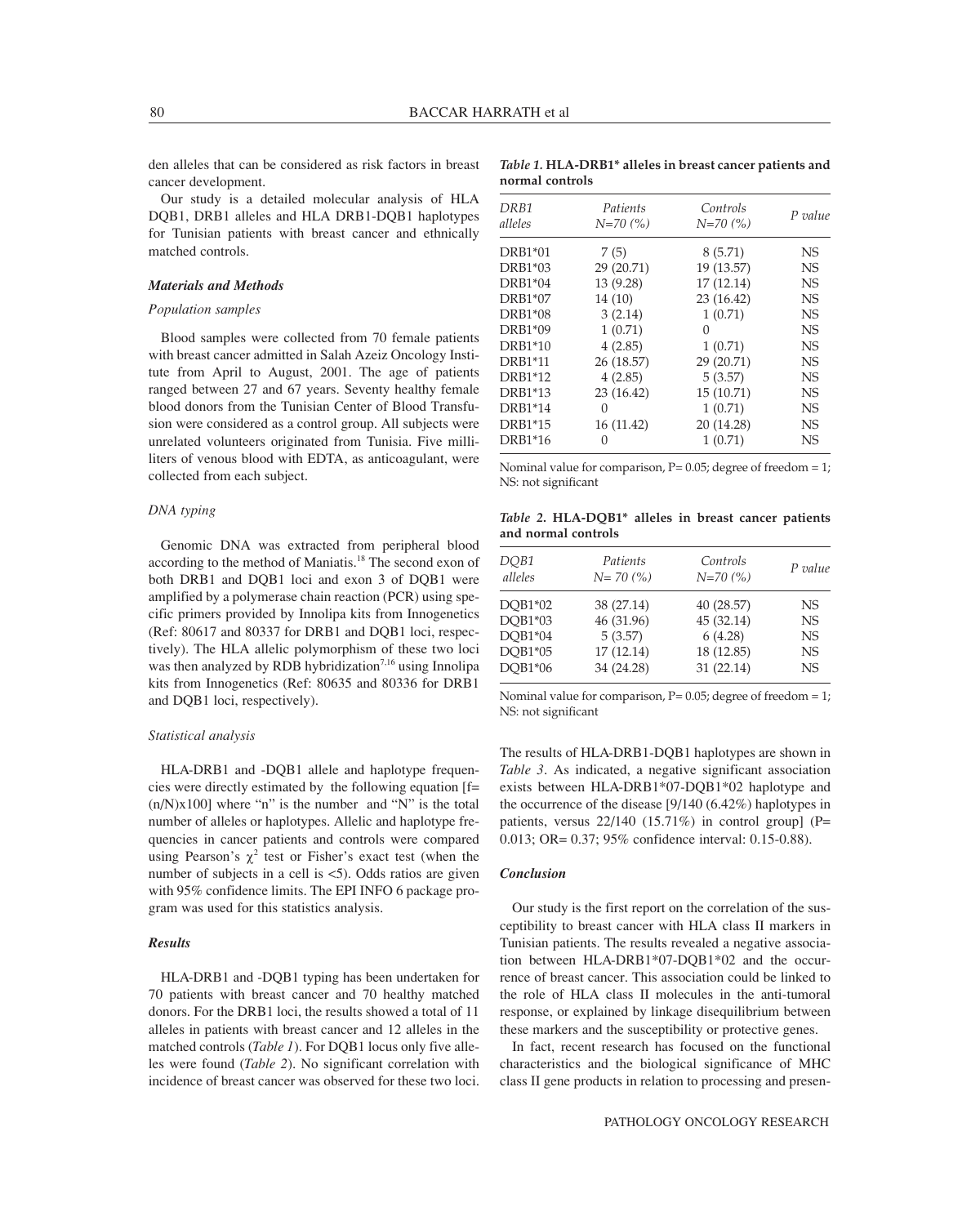den alleles that can be considered as risk factors in breast cancer development.

Our study is a detailed molecular analysis of HLA DQB1, DRB1 alleles and HLA DRB1-DQB1 haplotypes for Tunisian patients with breast cancer and ethnically matched controls.

### *Materials and Methods*

#### *Population samples*

Blood samples were collected from 70 female patients with breast cancer admitted in Salah Azeiz Oncology Institute from April to August, 2001. The age of patients ranged between 27 and 67 years. Seventy healthy female blood donors from the Tunisian Center of Blood Transfusion were considered as a control group. All subjects were unrelated volunteers originated from Tunisia. Five milliliters of venous blood with EDTA, as anticoagulant, were collected from each subject.

## *DNA typing*

Genomic DNA was extracted from peripheral blood according to the method of Maniatis.<sup>18</sup> The second exon of both DRB1 and DQB1 loci and exon 3 of DQB1 were amplified by a polymerase chain reaction (PCR) using specific primers provided by Innolipa kits from Innogenetics (Ref: 80617 and 80337 for DRB1 and DQB1 loci, respectively). The HLA allelic polymorphism of these two loci was then analyzed by RDB hybridization<sup>7,16</sup> using Innolipa kits from Innogenetics (Ref: 80635 and 80336 for DRB1 and DQB1 loci, respectively).

## *Statistical analysis*

HLA-DRB1 and -DQB1 allele and haplotype frequencies were directly estimated by the following equation [f=  $(n/N)x100$ ] where "n" is the number and "N" is the total number of alleles or haplotypes. Allelic and haplotype frequencies in cancer patients and controls were compared using Pearson's  $\chi^2$  test or Fisher's exact test (when the number of subjects in a cell is  $\lt 5$ ). Odds ratios are given with 95% confidence limits. The EPI INFO 6 package program was used for this statistics analysis.

#### *Results*

HLA-DRB1 and -DQB1 typing has been undertaken for 70 patients with breast cancer and 70 healthy matched donors. For the DRB1 loci, the results showed a total of 11 alleles in patients with breast cancer and 12 alleles in the matched controls (*Table 1*). For DQB1 locus only five alleles were found (*Table 2*). No significant correlation with incidence of breast cancer was observed for these two loci.

| Table 1. HLA-DRB1* alleles in breast cancer patients and |  |  |  |
|----------------------------------------------------------|--|--|--|
| normal controls                                          |  |  |  |

| DRB1<br>alleles | Patients<br>$N=70(%)$ | Controls<br>$N=70(%)$ | P value   |
|-----------------|-----------------------|-----------------------|-----------|
|                 |                       |                       |           |
| DRB1*01         | 7(5)                  | 8 (5.71)              | NS        |
| DRB1*03         | 29 (20.71)            | 19 (13.57)            | NS        |
| DRB1*04         | 13 (9.28)             | 17(12.14)             | NS        |
| DRB1*07         | 14 (10)               | 23 (16.42)            | NS        |
| DRB1*08         | 3(2.14)               | 1(0.71)               | NS        |
| DRB1*09         | 1(0.71)               | 0                     | <b>NS</b> |
| <b>DRB1*10</b>  | 4(2.85)               | 1(0.71)               | <b>NS</b> |
| <b>DRB1*11</b>  | 26 (18.57)            | 29 (20.71)            | <b>NS</b> |
| DRB1*12         | 4(2.85)               | 5(3.57)               | <b>NS</b> |
| DRB1*13         | 23 (16.42)            | 15(10.71)             | NS        |
| <b>DRB1*14</b>  | 0                     | 1(0.71)               | NS        |
| DRB1*15         | 16 (11.42)            | 20 (14.28)            | NS        |
| DRB1*16         | 0                     | 1(0.71)               | NS        |

Nominal value for comparison,  $P = 0.05$ ; degree of freedom = 1; NS: not significant

*Table 2***. HLA-DQB1\* alleles in breast cancer patients and normal controls**

| DQB1<br>alleles | Patients<br>$N=70(%)$ | Controls<br>$N=70(%)$ | P value   |
|-----------------|-----------------------|-----------------------|-----------|
| DOB1*02         | 38 (27.14)            | 40 (28.57)            | NS.       |
| DQB1*03         | 46 (31.96)            | 45 (32.14)            | <b>NS</b> |
| DQB1*04         | 5(3.57)               | 6(4.28)               | <b>NS</b> |
| DQB1*05         | 17 (12.14)            | 18 (12.85)            | <b>NS</b> |
| DQB1*06         | 34 (24.28)            | 31(22.14)             | <b>NS</b> |

Nominal value for comparison,  $P = 0.05$ ; degree of freedom = 1; NS: not significant

The results of HLA-DRB1-DQB1 haplotypes are shown in *Table 3*. As indicated, a negative significant association exists between HLA-DRB1\*07-DQB1\*02 haplotype and the occurrence of the disease [9/140 (6.42%) haplotypes in patients, versus  $22/140$  (15.71%) in control group] (P= 0.013; OR= 0.37; 95% confidence interval: 0.15-0.88).

#### *Conclusion*

Our study is the first report on the correlation of the susceptibility to breast cancer with HLA class II markers in Tunisian patients. The results revealed a negative association between HLA-DRB1\*07-DQB1\*02 and the occurrence of breast cancer. This association could be linked to the role of HLA class II molecules in the anti-tumoral response, or explained by linkage disequilibrium between these markers and the susceptibility or protective genes.

In fact, recent research has focused on the functional characteristics and the biological significance of MHC class II gene products in relation to processing and presen-